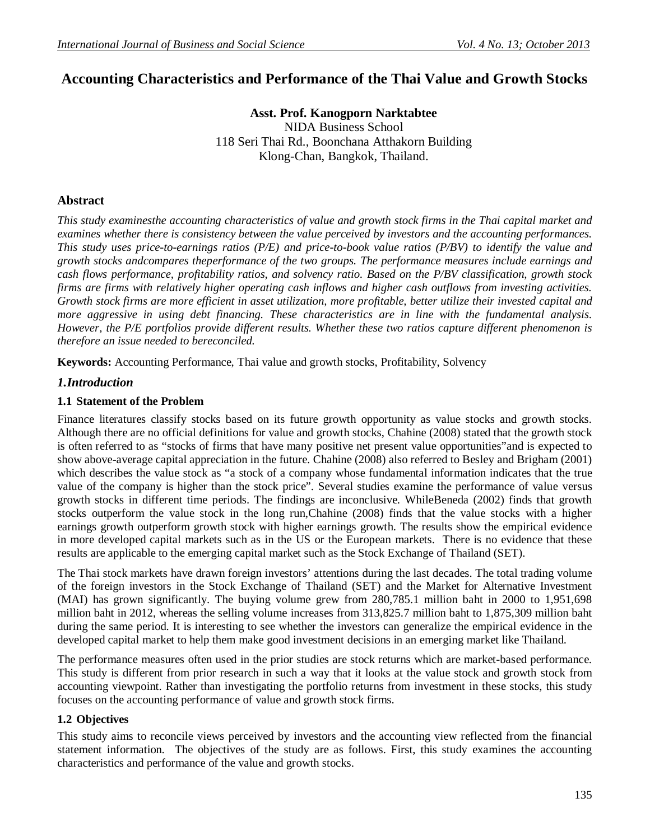# **Accounting Characteristics and Performance of the Thai Value and Growth Stocks**

**Asst. Prof. Kanogporn Narktabtee** NIDA Business School 118 Seri Thai Rd., Boonchana Atthakorn Building Klong-Chan, Bangkok, Thailand.

# **Abstract**

*This study examinesthe accounting characteristics of value and growth stock firms in the Thai capital market and examines whether there is consistency between the value perceived by investors and the accounting performances. This study uses price-to-earnings ratios (P/E) and price-to-book value ratios (P/BV) to identify the value and growth stocks andcompares theperformance of the two groups. The performance measures include earnings and cash flows performance, profitability ratios, and solvency ratio. Based on the P/BV classification, growth stock firms are firms with relatively higher operating cash inflows and higher cash outflows from investing activities. Growth stock firms are more efficient in asset utilization, more profitable, better utilize their invested capital and more aggressive in using debt financing. These characteristics are in line with the fundamental analysis. However, the P/E portfolios provide different results. Whether these two ratios capture different phenomenon is therefore an issue needed to bereconciled.* 

**Keywords:** Accounting Performance, Thai value and growth stocks, Profitability, Solvency

## *1.Introduction*

#### **1.1 Statement of the Problem**

Finance literatures classify stocks based on its future growth opportunity as value stocks and growth stocks. Although there are no official definitions for value and growth stocks, Chahine (2008) stated that the growth stock is often referred to as "stocks of firms that have many positive net present value opportunities"and is expected to show above-average capital appreciation in the future. Chahine (2008) also referred to Besley and Brigham (2001) which describes the value stock as "a stock of a company whose fundamental information indicates that the true value of the company is higher than the stock price". Several studies examine the performance of value versus growth stocks in different time periods. The findings are inconclusive. WhileBeneda (2002) finds that growth stocks outperform the value stock in the long run,Chahine (2008) finds that the value stocks with a higher earnings growth outperform growth stock with higher earnings growth. The results show the empirical evidence in more developed capital markets such as in the US or the European markets. There is no evidence that these results are applicable to the emerging capital market such as the Stock Exchange of Thailand (SET).

The Thai stock markets have drawn foreign investors' attentions during the last decades. The total trading volume of the foreign investors in the Stock Exchange of Thailand (SET) and the Market for Alternative Investment (MAI) has grown significantly. The buying volume grew from 280,785.1 million baht in 2000 to 1,951,698 million baht in 2012, whereas the selling volume increases from 313,825.7 million baht to 1,875,309 million baht during the same period. It is interesting to see whether the investors can generalize the empirical evidence in the developed capital market to help them make good investment decisions in an emerging market like Thailand.

The performance measures often used in the prior studies are stock returns which are market-based performance. This study is different from prior research in such a way that it looks at the value stock and growth stock from accounting viewpoint. Rather than investigating the portfolio returns from investment in these stocks, this study focuses on the accounting performance of value and growth stock firms.

## **1.2 Objectives**

This study aims to reconcile views perceived by investors and the accounting view reflected from the financial statement information. The objectives of the study are as follows. First, this study examines the accounting characteristics and performance of the value and growth stocks.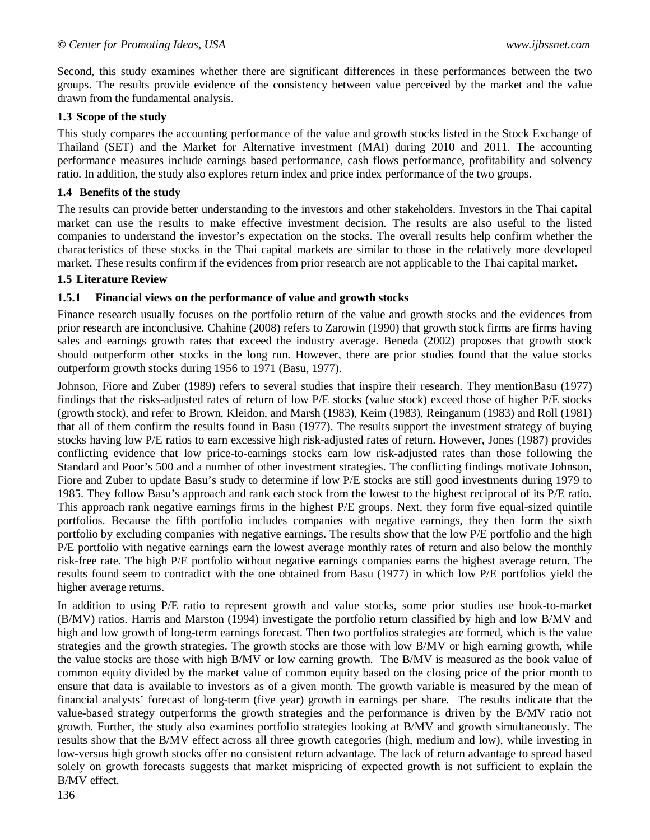Second, this study examines whether there are significant differences in these performances between the two groups. The results provide evidence of the consistency between value perceived by the market and the value drawn from the fundamental analysis.

#### **1.3 Scope of the study**

This study compares the accounting performance of the value and growth stocks listed in the Stock Exchange of Thailand (SET) and the Market for Alternative investment (MAI) during 2010 and 2011. The accounting performance measures include earnings based performance, cash flows performance, profitability and solvency ratio. In addition, the study also explores return index and price index performance of the two groups.

#### **1.4 Benefits of the study**

The results can provide better understanding to the investors and other stakeholders. Investors in the Thai capital market can use the results to make effective investment decision. The results are also useful to the listed companies to understand the investor's expectation on the stocks. The overall results help confirm whether the characteristics of these stocks in the Thai capital markets are similar to those in the relatively more developed market. These results confirm if the evidences from prior research are not applicable to the Thai capital market.

#### **1.5 Literature Review**

#### **1.5.1 Financial views on the performance of value and growth stocks**

Finance research usually focuses on the portfolio return of the value and growth stocks and the evidences from prior research are inconclusive. Chahine (2008) refers to Zarowin (1990) that growth stock firms are firms having sales and earnings growth rates that exceed the industry average. Beneda (2002) proposes that growth stock should outperform other stocks in the long run. However, there are prior studies found that the value stocks outperform growth stocks during 1956 to 1971 (Basu, 1977).

Johnson, Fiore and Zuber (1989) refers to several studies that inspire their research. They mentionBasu (1977) findings that the risks-adjusted rates of return of low P/E stocks (value stock) exceed those of higher P/E stocks (growth stock), and refer to Brown, Kleidon, and Marsh (1983), Keim (1983), Reinganum (1983) and Roll (1981) that all of them confirm the results found in Basu (1977). The results support the investment strategy of buying stocks having low P/E ratios to earn excessive high risk-adjusted rates of return. However, Jones (1987) provides conflicting evidence that low price-to-earnings stocks earn low risk-adjusted rates than those following the Standard and Poor's 500 and a number of other investment strategies. The conflicting findings motivate Johnson, Fiore and Zuber to update Basu's study to determine if low P/E stocks are still good investments during 1979 to 1985. They follow Basu's approach and rank each stock from the lowest to the highest reciprocal of its P/E ratio. This approach rank negative earnings firms in the highest P/E groups. Next, they form five equal-sized quintile portfolios. Because the fifth portfolio includes companies with negative earnings, they then form the sixth portfolio by excluding companies with negative earnings. The results show that the low P/E portfolio and the high P/E portfolio with negative earnings earn the lowest average monthly rates of return and also below the monthly risk-free rate. The high P/E portfolio without negative earnings companies earns the highest average return. The results found seem to contradict with the one obtained from Basu (1977) in which low P/E portfolios yield the higher average returns.

In addition to using P/E ratio to represent growth and value stocks, some prior studies use book-to-market (B/MV) ratios. Harris and Marston (1994) investigate the portfolio return classified by high and low B/MV and high and low growth of long-term earnings forecast. Then two portfolios strategies are formed, which is the value strategies and the growth strategies. The growth stocks are those with low B/MV or high earning growth, while the value stocks are those with high B/MV or low earning growth. The B/MV is measured as the book value of common equity divided by the market value of common equity based on the closing price of the prior month to ensure that data is available to investors as of a given month. The growth variable is measured by the mean of financial analysts' forecast of long-term (five year) growth in earnings per share. The results indicate that the value-based strategy outperforms the growth strategies and the performance is driven by the B/MV ratio not growth. Further, the study also examines portfolio strategies looking at B/MV and growth simultaneously. The results show that the B/MV effect across all three growth categories (high, medium and low), while investing in low-versus high growth stocks offer no consistent return advantage. The lack of return advantage to spread based solely on growth forecasts suggests that market mispricing of expected growth is not sufficient to explain the B/MV effect.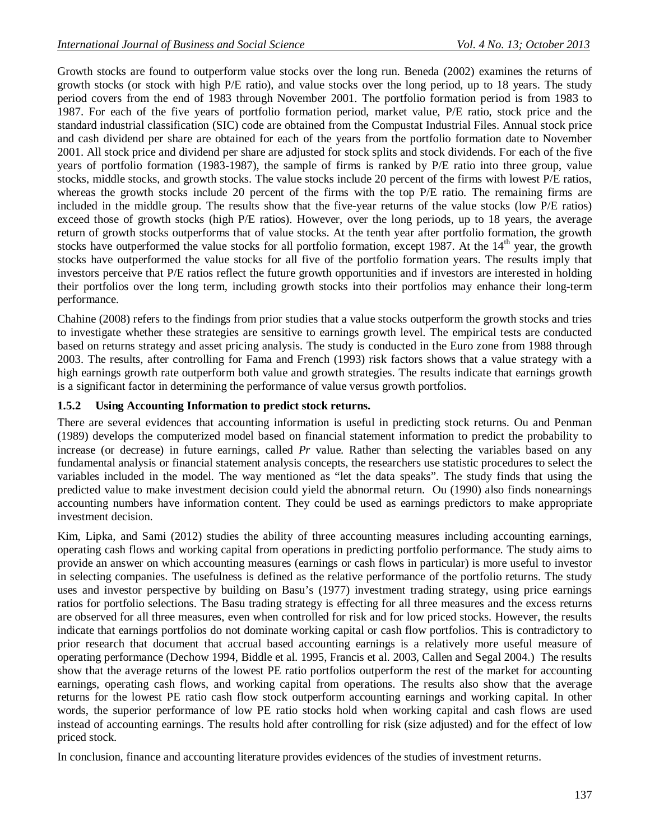Growth stocks are found to outperform value stocks over the long run. Beneda (2002) examines the returns of growth stocks (or stock with high P/E ratio), and value stocks over the long period, up to 18 years. The study period covers from the end of 1983 through November 2001. The portfolio formation period is from 1983 to 1987. For each of the five years of portfolio formation period, market value, P/E ratio, stock price and the standard industrial classification (SIC) code are obtained from the Compustat Industrial Files. Annual stock price and cash dividend per share are obtained for each of the years from the portfolio formation date to November 2001. All stock price and dividend per share are adjusted for stock splits and stock dividends. For each of the five years of portfolio formation (1983-1987), the sample of firms is ranked by P/E ratio into three group, value stocks, middle stocks, and growth stocks. The value stocks include 20 percent of the firms with lowest P/E ratios, whereas the growth stocks include 20 percent of the firms with the top P/E ratio. The remaining firms are included in the middle group. The results show that the five-year returns of the value stocks (low P/E ratios) exceed those of growth stocks (high P/E ratios). However, over the long periods, up to 18 years, the average return of growth stocks outperforms that of value stocks. At the tenth year after portfolio formation, the growth stocks have outperformed the value stocks for all portfolio formation, except  $1987$ . At the  $14<sup>th</sup>$  year, the growth stocks have outperformed the value stocks for all five of the portfolio formation years. The results imply that investors perceive that P/E ratios reflect the future growth opportunities and if investors are interested in holding their portfolios over the long term, including growth stocks into their portfolios may enhance their long-term performance.

Chahine (2008) refers to the findings from prior studies that a value stocks outperform the growth stocks and tries to investigate whether these strategies are sensitive to earnings growth level. The empirical tests are conducted based on returns strategy and asset pricing analysis. The study is conducted in the Euro zone from 1988 through 2003. The results, after controlling for Fama and French (1993) risk factors shows that a value strategy with a high earnings growth rate outperform both value and growth strategies. The results indicate that earnings growth is a significant factor in determining the performance of value versus growth portfolios.

# **1.5.2 Using Accounting Information to predict stock returns.**

There are several evidences that accounting information is useful in predicting stock returns. Ou and Penman (1989) develops the computerized model based on financial statement information to predict the probability to increase (or decrease) in future earnings, called *Pr* value. Rather than selecting the variables based on any fundamental analysis or financial statement analysis concepts, the researchers use statistic procedures to select the variables included in the model. The way mentioned as "let the data speaks". The study finds that using the predicted value to make investment decision could yield the abnormal return. Ou (1990) also finds nonearnings accounting numbers have information content. They could be used as earnings predictors to make appropriate investment decision.

Kim, Lipka, and Sami (2012) studies the ability of three accounting measures including accounting earnings, operating cash flows and working capital from operations in predicting portfolio performance. The study aims to provide an answer on which accounting measures (earnings or cash flows in particular) is more useful to investor in selecting companies. The usefulness is defined as the relative performance of the portfolio returns. The study uses and investor perspective by building on Basu's (1977) investment trading strategy, using price earnings ratios for portfolio selections. The Basu trading strategy is effecting for all three measures and the excess returns are observed for all three measures, even when controlled for risk and for low priced stocks. However, the results indicate that earnings portfolios do not dominate working capital or cash flow portfolios. This is contradictory to prior research that document that accrual based accounting earnings is a relatively more useful measure of operating performance (Dechow 1994, Biddle et al. 1995, Francis et al. 2003, Callen and Segal 2004.) The results show that the average returns of the lowest PE ratio portfolios outperform the rest of the market for accounting earnings, operating cash flows, and working capital from operations. The results also show that the average returns for the lowest PE ratio cash flow stock outperform accounting earnings and working capital. In other words, the superior performance of low PE ratio stocks hold when working capital and cash flows are used instead of accounting earnings. The results hold after controlling for risk (size adjusted) and for the effect of low priced stock.

In conclusion, finance and accounting literature provides evidences of the studies of investment returns.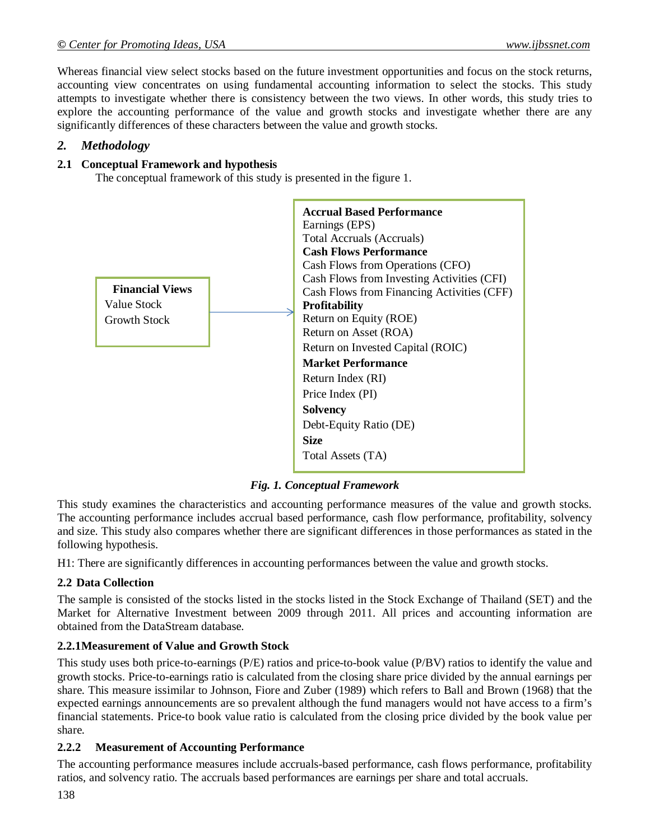Whereas financial view select stocks based on the future investment opportunities and focus on the stock returns, accounting view concentrates on using fundamental accounting information to select the stocks. This study attempts to investigate whether there is consistency between the two views. In other words, this study tries to explore the accounting performance of the value and growth stocks and investigate whether there are any significantly differences of these characters between the value and growth stocks.

#### *2. Methodology*

#### **2.1 Conceptual Framework and hypothesis**

The conceptual framework of this study is presented in the figure 1.



*Fig. 1. Conceptual Framework*

This study examines the characteristics and accounting performance measures of the value and growth stocks. The accounting performance includes accrual based performance, cash flow performance, profitability, solvency and size. This study also compares whether there are significant differences in those performances as stated in the following hypothesis.

H1: There are significantly differences in accounting performances between the value and growth stocks.

## **2.2 Data Collection**

The sample is consisted of the stocks listed in the stocks listed in the Stock Exchange of Thailand (SET) and the Market for Alternative Investment between 2009 through 2011. All prices and accounting information are obtained from the DataStream database.

#### **2.2.1Measurement of Value and Growth Stock**

This study uses both price-to-earnings (P/E) ratios and price-to-book value (P/BV) ratios to identify the value and growth stocks. Price-to-earnings ratio is calculated from the closing share price divided by the annual earnings per share. This measure issimilar to Johnson, Fiore and Zuber (1989) which refers to Ball and Brown (1968) that the expected earnings announcements are so prevalent although the fund managers would not have access to a firm's financial statements. Price-to book value ratio is calculated from the closing price divided by the book value per share.

## **2.2.2 Measurement of Accounting Performance**

The accounting performance measures include accruals-based performance, cash flows performance, profitability ratios, and solvency ratio. The accruals based performances are earnings per share and total accruals.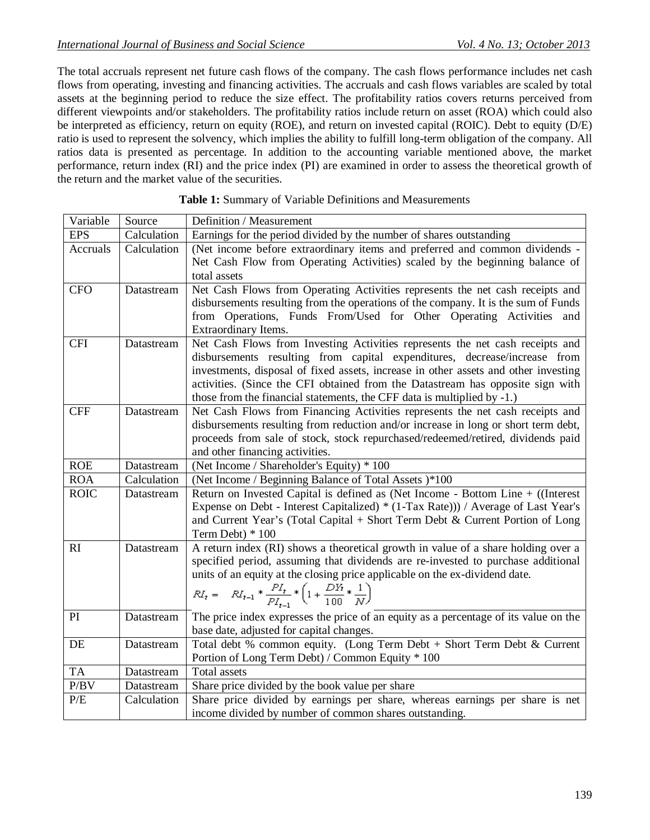The total accruals represent net future cash flows of the company. The cash flows performance includes net cash flows from operating, investing and financing activities. The accruals and cash flows variables are scaled by total assets at the beginning period to reduce the size effect. The profitability ratios covers returns perceived from different viewpoints and/or stakeholders. The profitability ratios include return on asset (ROA) which could also be interpreted as efficiency, return on equity (ROE), and return on invested capital (ROIC). Debt to equity (D/E) ratio is used to represent the solvency, which implies the ability to fulfill long-term obligation of the company. All ratios data is presented as percentage. In addition to the accounting variable mentioned above, the market performance, return index (RI) and the price index (PI) are examined in order to assess the theoretical growth of the return and the market value of the securities.

| Variable    | Source      | Definition / Measurement                                                                                                                                                                                                                                                                                                                                                                                       |
|-------------|-------------|----------------------------------------------------------------------------------------------------------------------------------------------------------------------------------------------------------------------------------------------------------------------------------------------------------------------------------------------------------------------------------------------------------------|
| <b>EPS</b>  | Calculation | Earnings for the period divided by the number of shares outstanding                                                                                                                                                                                                                                                                                                                                            |
| Accruals    | Calculation | (Net income before extraordinary items and preferred and common dividends -<br>Net Cash Flow from Operating Activities) scaled by the beginning balance of<br>total assets                                                                                                                                                                                                                                     |
| <b>CFO</b>  | Datastream  | Net Cash Flows from Operating Activities represents the net cash receipts and<br>disbursements resulting from the operations of the company. It is the sum of Funds<br>from Operations, Funds From/Used for Other Operating Activities and<br>Extraordinary Items.                                                                                                                                             |
| <b>CFI</b>  | Datastream  | Net Cash Flows from Investing Activities represents the net cash receipts and<br>disbursements resulting from capital expenditures, decrease/increase from<br>investments, disposal of fixed assets, increase in other assets and other investing<br>activities. (Since the CFI obtained from the Datastream has opposite sign with<br>those from the financial statements, the CFF data is multiplied by -1.) |
| <b>CFF</b>  | Datastream  | Net Cash Flows from Financing Activities represents the net cash receipts and<br>disbursements resulting from reduction and/or increase in long or short term debt,<br>proceeds from sale of stock, stock repurchased/redeemed/retired, dividends paid<br>and other financing activities.                                                                                                                      |
| <b>ROE</b>  | Datastream  | (Net Income / Shareholder's Equity) * 100                                                                                                                                                                                                                                                                                                                                                                      |
| <b>ROA</b>  | Calculation | (Net Income / Beginning Balance of Total Assets )*100                                                                                                                                                                                                                                                                                                                                                          |
| <b>ROIC</b> | Datastream  | Return on Invested Capital is defined as (Net Income - Bottom Line + ((Interest<br>Expense on Debt - Interest Capitalized) * (1-Tax Rate))) / Average of Last Year's<br>and Current Year's (Total Capital + Short Term Debt & Current Portion of Long<br>Term Debt) * 100                                                                                                                                      |
| RI          | Datastream  | A return index (RI) shows a theoretical growth in value of a share holding over a<br>specified period, assuming that dividends are re-invested to purchase additional<br>units of an equity at the closing price applicable on the ex-dividend date.<br>$RI_t = -RI_{t-1} * \frac{PI_t}{PI_{t-1}} * \left(1 + \frac{DN}{100} * \frac{1}{N}\right)$                                                             |
| PI          | Datastream  | The price index expresses the price of an equity as a percentage of its value on the<br>base date, adjusted for capital changes.                                                                                                                                                                                                                                                                               |
| DE          | Datastream  | Total debt % common equity. (Long Term Debt + Short Term Debt & Current<br>Portion of Long Term Debt) / Common Equity * 100                                                                                                                                                                                                                                                                                    |
| <b>TA</b>   | Datastream  | Total assets                                                                                                                                                                                                                                                                                                                                                                                                   |
| P/BV        | Datastream  | Share price divided by the book value per share                                                                                                                                                                                                                                                                                                                                                                |
| $\rm P/E$   | Calculation | Share price divided by earnings per share, whereas earnings per share is net<br>income divided by number of common shares outstanding.                                                                                                                                                                                                                                                                         |

#### **Table 1:** Summary of Variable Definitions and Measurements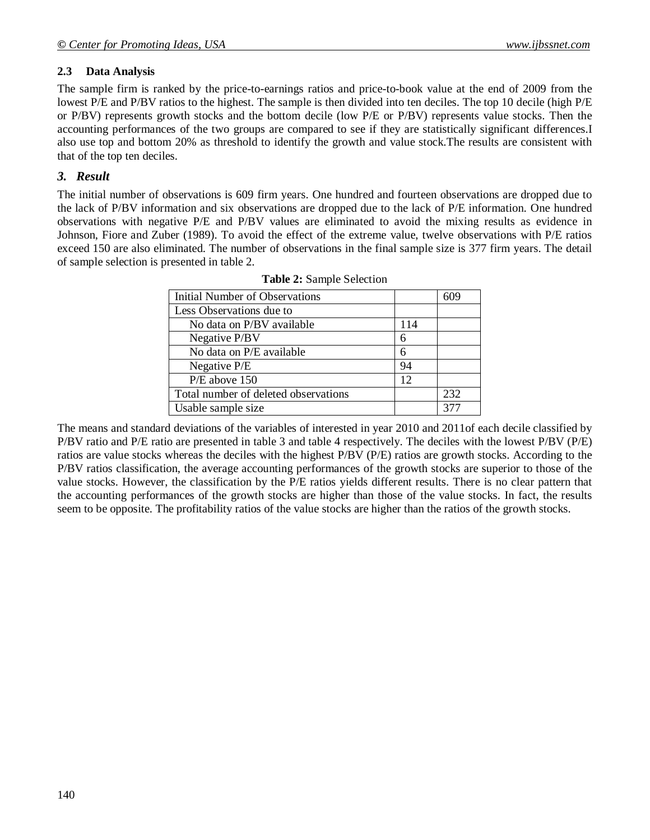## **2.3 Data Analysis**

The sample firm is ranked by the price-to-earnings ratios and price-to-book value at the end of 2009 from the lowest P/E and P/BV ratios to the highest. The sample is then divided into ten deciles. The top 10 decile (high P/E or P/BV) represents growth stocks and the bottom decile (low P/E or P/BV) represents value stocks. Then the accounting performances of the two groups are compared to see if they are statistically significant differences.I also use top and bottom 20% as threshold to identify the growth and value stock.The results are consistent with that of the top ten deciles.

# *3. Result*

The initial number of observations is 609 firm years. One hundred and fourteen observations are dropped due to the lack of P/BV information and six observations are dropped due to the lack of P/E information. One hundred observations with negative P/E and P/BV values are eliminated to avoid the mixing results as evidence in Johnson, Fiore and Zuber (1989). To avoid the effect of the extreme value, twelve observations with P/E ratios exceed 150 are also eliminated. The number of observations in the final sample size is 377 firm years. The detail of sample selection is presented in table 2.

| Initial Number of Observations       |     | 609 |
|--------------------------------------|-----|-----|
| Less Observations due to             |     |     |
| No data on P/BV available            | 114 |     |
| Negative P/BV                        | 6   |     |
| No data on P/E available             | 6   |     |
| Negative P/E                         | 94  |     |
| P/E above 150                        | 12  |     |
| Total number of deleted observations |     | 232 |
| Usable sample size                   |     | 377 |

|  |  | Table 2: Sample Selection |
|--|--|---------------------------|
|--|--|---------------------------|

The means and standard deviations of the variables of interested in year 2010 and 2011of each decile classified by P/BV ratio and P/E ratio are presented in table 3 and table 4 respectively. The deciles with the lowest P/BV (P/E) ratios are value stocks whereas the deciles with the highest P/BV (P/E) ratios are growth stocks. According to the P/BV ratios classification, the average accounting performances of the growth stocks are superior to those of the value stocks. However, the classification by the P/E ratios yields different results. There is no clear pattern that the accounting performances of the growth stocks are higher than those of the value stocks. In fact, the results seem to be opposite. The profitability ratios of the value stocks are higher than the ratios of the growth stocks.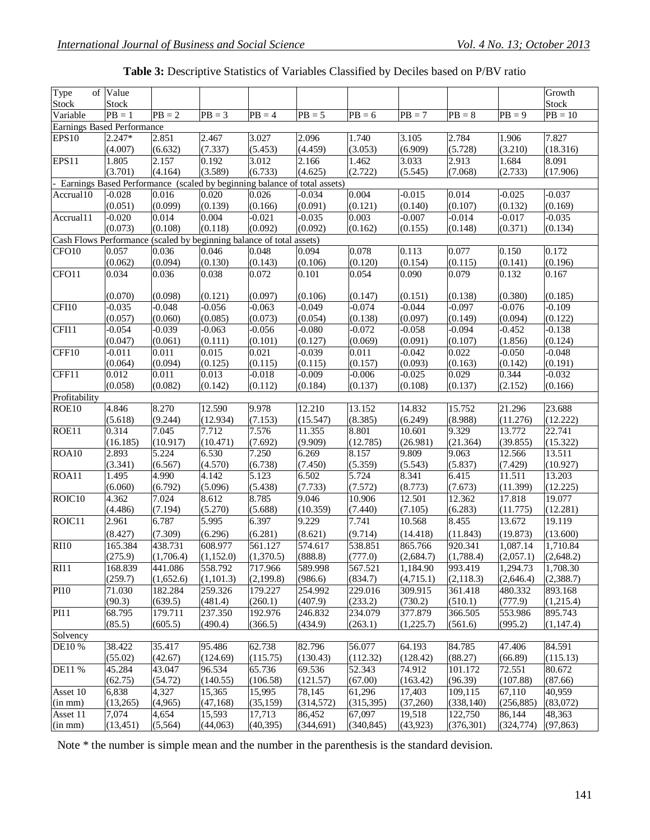| Table 3: Descriptive Statistics of Variables Classified by Deciles based on P/BV ratio |  |  |
|----------------------------------------------------------------------------------------|--|--|
|                                                                                        |  |  |

| Type                                                                     | of Value                          |                  |                   |                     |                    |                  |                    |                  |                     | Growth             |
|--------------------------------------------------------------------------|-----------------------------------|------------------|-------------------|---------------------|--------------------|------------------|--------------------|------------------|---------------------|--------------------|
| <b>Stock</b>                                                             | <b>Stock</b>                      |                  |                   |                     |                    |                  |                    |                  |                     | <b>Stock</b>       |
| Variable                                                                 | $PB = 1$                          | $PB = 2$         | $PB = 3$          | $\overline{PB} = 4$ | $PB = 5$           | $PB = 6$         | $PB = 7$           | $PB = 8$         | $PB = 9$            | $PB = 10$          |
|                                                                          | <b>Earnings Based Performance</b> |                  |                   |                     |                    |                  |                    |                  |                     |                    |
| <b>EPS10</b>                                                             | 2.247*                            | 2.851            | 2.467             | 3.027               | 2.096              | 1.740            | 3.105              | 2.784            | 1.906               | 7.827              |
|                                                                          | (4.007)                           | (6.632)          | (7.337)           | (5.453)             | (4.459)            | (3.053)          | (6.909)            | (5.728)          | (3.210)             | (18.316)           |
| EPS11                                                                    | 1.805                             | 2.157            | 0.192             | 3.012               | 2.166              | 1.462            | 3.033              | 2.913            | 1.684               | 8.091              |
|                                                                          | (3.701)                           | (4.164)          | (3.589)           | (6.733)             | (4.625)            | (2.722)          | (5.545)            | (7.068)          | (2.733)             | (17.906)           |
| Earnings Based Performance (scaled by beginning balance of total assets) |                                   |                  |                   |                     |                    |                  |                    |                  |                     |                    |
| Accrual10                                                                | $-0.028$                          | 0.016            | 0.020             | 0.026               | $-0.034$           | 0.004            | $-0.015$           | 0.014            | $-0.025$            | $-0.037$           |
|                                                                          | (0.051)                           | (0.099)          | (0.139)           | (0.166)             | (0.091)            | (0.121)          | (0.140)            | (0.107)          | (0.132)             | (0.169)            |
| Accrual11                                                                | $-0.020$                          | 0.014            | 0.004             | $-0.021$            | $-0.035$           | 0.003            | $-0.007$           | $-0.014$         | $-0.017$            | $-0.035$           |
|                                                                          | (0.073)                           | (0.108)          | (0.118)           | (0.092)             | (0.092)            | (0.162)          | (0.155)            | (0.148)          | (0.371)             | (0.134)            |
| Cash Flows Performance (scaled by beginning balance of total assets)     |                                   |                  |                   |                     |                    |                  |                    |                  |                     |                    |
| CFO10                                                                    | 0.057                             | 0.036            | 0.046             | 0.048               | 0.094              | 0.078            | 0.113              | 0.077            | 0.150               | 0.172              |
|                                                                          | (0.062)                           | (0.094)          | (0.130)           | (0.143)             | (0.106)            | (0.120)          | (0.154)            | (0.115)          | (0.141)             | (0.196)            |
| CFO11                                                                    | 0.034                             | 0.036            | 0.038             | 0.072               | 0.101              | 0.054            | 0.090              | 0.079            | 0.132               | 0.167              |
|                                                                          |                                   |                  |                   |                     |                    |                  |                    |                  |                     |                    |
|                                                                          | (0.070)                           | (0.098)          | (0.121)           | (0.097)             | (0.106)            | (0.147)          | (0.151)            | (0.138)          | (0.380)             | (0.185)            |
| CFI10                                                                    | $-0.035$                          | $-0.048$         | $-0.056$          | $-0.063$            | $-0.049$           | $-0.074$         | $-0.044$           | $-0.097$         | $-0.076$            | $-0.109$           |
|                                                                          | (0.057)                           | (0.060)          | (0.085)           | (0.073)             | (0.054)            | (0.138)          | (0.097)            | (0.149)          | (0.094)             | (0.122)            |
| CFI11                                                                    | $-0.054$                          | $-0.039$         | $-0.063$          | $-0.056$            | $-0.080$           | $-0.072$         | $-0.058$           | $-0.094$         | $-0.452$            | $-0.138$           |
|                                                                          | (0.047)                           | (0.061)          | (0.111)           | (0.101)             | (0.127)            | (0.069)          | (0.091)            | (0.107)          | (1.856)             | (0.124)            |
| CFF10                                                                    | $-0.011$                          | 0.011            | 0.015             | 0.021               | $-0.039$           | 0.011            | $-0.042$           | 0.022            | $-0.050$            | $-0.048$           |
|                                                                          | (0.064)                           | (0.094)          | (0.125)           | (0.115)             | (0.115)            | (0.157)          | (0.093)            | (0.163)          | (0.142)             | (0.191)            |
| CFF11                                                                    | 0.012                             | 0.011            | 0.013             | $-0.018$            | $-0.009$           | $-0.006$         | $-0.025$           | 0.029            | 0.344               | $-0.032$           |
|                                                                          | (0.058)                           | (0.082)          | (0.142)           | (0.112)             | (0.184)            | (0.137)          | (0.108)            | (0.137)          | (2.152)             | (0.166)            |
| Profitability                                                            |                                   |                  |                   |                     |                    |                  |                    |                  |                     |                    |
| ROE10                                                                    | 4.846                             | 8.270            | 12.590            | 9.978               | 12.210             | 13.152           | 14.832             | 15.752           | 21.296              | 23.688             |
|                                                                          | (5.618)<br>0.314                  | (9.244)<br>7.045 | (12.934)<br>7.712 | (7.153)<br>7.576    | (15.547)<br>11.355 | (8.385)<br>8.801 | (6.249)            | (8.988)<br>9.329 | (11.276)<br>13.772  | (12.222)<br>22.741 |
| ROE11                                                                    |                                   | (10.917)         | (10.471)          | (7.692)             | (9.909)            | (12.785)         | 10.601<br>(26.981) | (21.364)         | (39.855)            | (15.322)           |
| ROA10                                                                    | (16.185)<br>2.893                 | 5.224            | 6.530             | 7.250               | 6.269              | 8.157            | 9.809              | 9.063            | $\overline{12.566}$ | 13.511             |
|                                                                          | (3.341)                           | (6.567)          | (4.570)           | (6.738)             | (7.450)            | (5.359)          | (5.543)            | (5.837)          | (7.429)             | (10.927)           |
| ROA11                                                                    | 1.495                             | 4.990            | 4.142             | 5.123               | 6.502              | 5.724            | 8.341              | 6.415            | 11.511              | 13.203             |
|                                                                          | (6.060)                           | (6.792)          | (5.096)           | (5.438)             | (7.733)            | (7.572)          | (8.773)            | (7.673)          | (11.399)            | (12.225)           |
| ROIC <sub>10</sub>                                                       | 4.362                             | 7.024            | 8.612             | 8.785               | 9.046              | 10.906           | 12.501             | 12.362           | 17.818              | 19.077             |
|                                                                          | (4.486)                           | (7.194)          | (5.270)           | (5.688)             | (10.359)           | (7.440)          | (7.105)            | (6.283)          | (11.775)            | (12.281)           |
| ROIC11                                                                   | 2.961                             | 6.787            | 5.995             | 6.397               | 9.229              | 7.741            | 10.568             | 8.455            | 13.672              | 19.119             |
|                                                                          | (8.427)                           | (7.309)          | (6.296)           | (6.281)             | (8.621)            | (9.714)          | (14.418)           | (11.843)         | (19.873)            | (13.600)           |
| <b>RI10</b>                                                              | 165.384                           | 438.731          | 608.977           | 561.127             | 574.617            | 538.851          | 865.766            | 920.341          | 1,087.14            | 1,710.84           |
|                                                                          | (275.9)                           | (1,706.4)        | (1,152.0)         | (1,370.5)           | (888.8)            | (777.0)          | (2,684.7)          | (1,788.4)        | (2,057.1)           | (2,648.2)          |
| RI11                                                                     | 168.839                           | 441.086          | 558.792           | 717.966             | 589.998            | 567.521          | 1,184.90           | 993.419          | 1,294.73            | 1,708.30           |
|                                                                          | (259.7)                           | (1,652.6)        | (1,101.3)         | (2, 199.8)          | (986.6)            | (834.7)          | (4,715.1)          | (2,118.3)        | (2,646.4)           | (2,388.7)          |
| PI10                                                                     | 71.030                            | 182.284          | 259.326           | 179.227             | 254.992            | 229.016          | 309.915            | 361.418          | 480.332             | 893.168            |
|                                                                          | (90.3)                            | (639.5)          | (481.4)           | (260.1)             | (407.9)            | (233.2)          | (730.2)            | (510.1)          | (777.9)             | (1,215.4)          |
| <b>PI11</b>                                                              | 68.795                            | 179.711          | 237.350           | 192.976             | 246.832            | 234.079          | 377.879            | 366.505          | 553.986             | 895.743            |
|                                                                          | (85.5)                            | (605.5)          | (490.4)           | (366.5)             | (434.9)            | (263.1)          | (1,225.7)          | (561.6)          | (995.2)             | (1, 147.4)         |
| Solvency                                                                 |                                   |                  |                   |                     |                    |                  |                    |                  |                     |                    |
| DE10 %                                                                   | 38.422                            | 35.417           | 95.486            | 62.738              | 82.796             | 56.077           | 64.193             | 84.785           | 47.406              | 84.591             |
|                                                                          | (55.02)                           | (42.67)          | (124.69)          | (115.75)            | (130.43)           | (112.32)         | (128.42)           | (88.27)          | (66.89)             | (115.13)           |
| DE11 %                                                                   | 45.284                            | 43.047           | 96.534            | 65.736              | 69.536             | 52.343           | 74.912             | 101.172          | 72.551              | 80.672             |
|                                                                          | (62.75)                           | (54.72)          | (140.55)          | (106.58)            | (121.57)           | (67.00)          | (163.42)           | (96.39)          | (107.88)            | (87.66)            |
| Asset 10                                                                 | 6,838                             | 4,327            | 15,365            | 15,995              | 78,145             | 61,296           | 17,403             | 109,115          | 67,110              | 40,959             |
| (in mm)                                                                  | (13,265)                          | (4,965)          | (47, 168)         | (35, 159)           | (314, 572)         | (315, 395)       | (37,260)           | (338, 140)       | (256, 885)          | (83,072)           |
| Asset 11                                                                 | 7,074                             | 4,654            | 15,593            | 17,713              | 86,452             | 67,097           | 19,518             | 122,750          | 86,144              | 48,363             |
| (in mm)                                                                  | (13, 451)                         | (5,564)          | (44,063)          | (40, 395)           | (344, 691)         | (340, 845)       | (43, 923)          | (376, 301)       | (324, 774)          | (97, 863)          |

Note \* the number is simple mean and the number in the parenthesis is the standard devision.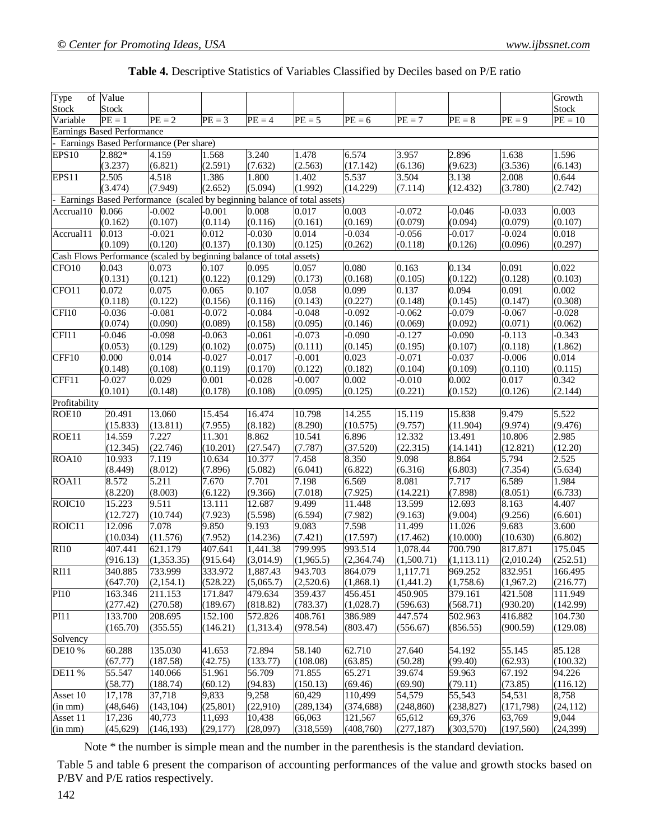| Type<br>Stock      | of Value<br><b>Stock</b>                                                    |                                                                          |                     |                       |                    |                     |                        |                        |                       | Growth<br><b>Stock</b> |
|--------------------|-----------------------------------------------------------------------------|--------------------------------------------------------------------------|---------------------|-----------------------|--------------------|---------------------|------------------------|------------------------|-----------------------|------------------------|
| Variable           | $PE = 1$                                                                    | $PE = 2$                                                                 | $PE = 3$            | $PE = 4$              | $PE = 5$           | $\overline{PE} = 6$ | $\overline{PE} = 7$    | $PE = 8$               | $PE = 9$              | $PE = 10$              |
|                    |                                                                             |                                                                          |                     |                       |                    |                     |                        |                        |                       |                        |
|                    | <b>Earnings Based Performance</b><br>Earnings Based Performance (Per share) |                                                                          |                     |                       |                    |                     |                        |                        |                       |                        |
| EPS10              | 2.882*                                                                      | 4.159                                                                    | 1.568               | 3.240                 | 1.478              | 6.574               | 3.957                  | 2.896                  | 1.638                 | 1.596                  |
|                    | (3.237)                                                                     | (6.821)                                                                  | (2.591)             | (7.632)               | (2.563)            | (17.142)            | (6.136)                | (9.623)                | (3.536)               | (6.143)                |
| EPS11              | 2.505                                                                       | 4.518                                                                    | 1.386               | 1.800                 | 1.402              | 5.537               | 3.504                  | 3.138                  | 2.008                 | 0.644                  |
|                    | (3.474)                                                                     | (7.949)                                                                  | (2.652)             | (5.094)               | (1.992)            | (14.229)            | (7.114)                | (12.432)               | (3.780)               | (2.742)                |
|                    |                                                                             | Earnings Based Performance (scaled by beginning balance of total assets) |                     |                       |                    |                     |                        |                        |                       |                        |
| Accrual10          | 0.066                                                                       | $-0.002$                                                                 | $-0.001$            | 0.008                 | 0.017              | 0.003               | $-0.072$               | $-0.046$               | $-0.033$              | 0.003                  |
|                    | (0.162)                                                                     | (0.107)                                                                  | (0.114)             | (0.116)               | (0.161)            | (0.169)             | (0.079)                | (0.094)                | (0.079)               | (0.107)                |
| Accrual11          | 0.013                                                                       | $-0.021$                                                                 | 0.012               | $-0.030$              | 0.014              | $-0.034$            | $-0.056$               | $-0.017$               | $-0.024$              | 0.018                  |
|                    | (0.109)                                                                     | (0.120)                                                                  | (0.137)             | (0.130)               | (0.125)            | (0.262)             | (0.118)                | (0.126)                | (0.096)               | (0.297)                |
|                    |                                                                             | Cash Flows Performance (scaled by beginning balance of total assets)     |                     |                       |                    |                     |                        |                        |                       |                        |
| CFO10              | 0.043                                                                       | 0.073                                                                    | 0.107               | 0.095                 | 0.057              | 0.080               | 0.163                  | 0.134                  | 0.091                 | 0.022                  |
|                    | (0.131)                                                                     | (0.121)                                                                  | (0.122)             | (0.129)               | (0.173)            | (0.168)             | (0.105)                | (0.122)                | (0.128)               | (0.103)                |
| CFO11              | 0.072                                                                       | 0.075                                                                    | 0.065               | 0.107                 | 0.058              | 0.099               | 0.137                  | 0.094                  | 0.091                 | 0.002                  |
|                    | (0.118)                                                                     | (0.122)                                                                  | (0.156)             | (0.116)               | (0.143)            | (0.227)             | (0.148)                | (0.145)                | (0.147)               | (0.308)                |
| CFI10              | $-0.036$                                                                    | $-0.081$                                                                 | $-0.072$            | $-0.084$              | $-0.048$           | $-0.092$            | $-0.062$               | $-0.079$               | $-0.067$              | $-0.028$               |
|                    | (0.074)                                                                     | (0.090)                                                                  | (0.089)             | (0.158)               | (0.095)            | (0.146)             | (0.069)                | (0.092)                | (0.071)               | (0.062)                |
| CFI11              | $-0.046$                                                                    | $-0.098$                                                                 | $-0.063$            | $-0.061$              | $-0.073$           | $-0.090$            | $-0.127$               | $-0.090$               | $-0.113$              | $-0.343$               |
|                    | (0.053)                                                                     | (0.129)                                                                  | (0.102)             | (0.075)               | (0.111)            | (0.145)             | (0.195)                | (0.107)                | (0.118)               | (1.862)                |
| CFF10              | 0.000                                                                       | 0.014                                                                    | $-0.027$            | $-0.017$              | $-0.001$           | 0.023               | $-0.071$               | $-0.037$               | $-0.006$              | 0.014                  |
|                    | (0.148)                                                                     | (0.108)                                                                  | (0.119)             | (0.170)               | (0.122)            | (0.182)             | (0.104)                | (0.109)                | (0.110)               | (0.115)                |
| CFF11              | $-0.027$                                                                    | 0.029                                                                    | 0.001               | $-0.028$              | $-0.007$           | 0.002               | $-0.010$               | 0.002                  | 0.017                 | 0.342                  |
|                    | (0.101)                                                                     | (0.148)                                                                  | (0.178)             | (0.108)               | (0.095)            | (0.125)             | (0.221)                | (0.152)                | (0.126)               | (2.144)                |
| Profitability      |                                                                             |                                                                          |                     |                       |                    |                     |                        |                        |                       |                        |
| ROE10              | 20.491                                                                      | 13.060                                                                   | 15.454              | 16.474                | 10.798             | 14.255              | 15.119                 | 15.838                 | 9.479                 | 5.522                  |
|                    | (15.833)                                                                    | (13.811)                                                                 | (7.955)             | (8.182)               | (8.290)            | (10.575)            | (9.757)                | (11.904)               | (9.974)               | (9.476)                |
| ROE11              | 14.559                                                                      | 7.227                                                                    | 11.301              | 8.862                 | 10.541             | 6.896               | 12.332                 | 13.491                 | 10.806                | 2.985                  |
|                    | (12.345)                                                                    | (22.746)                                                                 | (10.201)            | (27.547)              | (7.787)            | (37.520)            | (22.315)               | (14.141)               | (12.821)              | (12.20)                |
| ROA10              | 10.933                                                                      | 7.119                                                                    | 10.634              | 10.377                | 7.458              | 8.350               | 9.098                  | 8.864                  | 5.794                 | 2.525                  |
|                    | (8.449)                                                                     | (8.012)                                                                  | (7.896)             | (5.082)               | (6.041)            | (6.822)             | (6.316)                | (6.803)                | (7.354)               | (5.634)                |
| ROA11              | 8.572                                                                       | 5.211                                                                    | 7.670               | 7.701                 | 7.198              | 6.569               | 8.081                  | 7.717                  | 6.589                 | 1.984                  |
|                    | (8.220)                                                                     | (8.003)                                                                  | (6.122)             | (9.366)               | (7.018)            | (7.925)             | (14.221)               | (7.898)                | (8.051)               | (6.733)                |
| ROIC <sub>10</sub> | 15.223                                                                      | 9.511                                                                    | 13.111              | 12.687                | 9.499              | 11.448              | 13.599                 | 12.693                 | 8.163                 | 4.407                  |
|                    | (12.727)                                                                    | (10.744)                                                                 | (7.923)             | (5.598)               | (6.594)            | (7.982)             | (9.163)                | (9.004)                | (9.256)               | (6.601)                |
| ROIC11             | 12.096                                                                      | 7.078                                                                    | 9.850               | 9.193                 | 9.083              | 7.598               | 11.499                 | 11.026                 | 9.683                 | 3.600<br>(6.802)       |
|                    | (10.034)                                                                    | (11.576)                                                                 | (7.952)             | (14.236)              | (7.421)<br>799.995 | (17.597)<br>993.514 | (17.462)               | (10.000)               | (10.630)              |                        |
| <b>RI10</b>        | 407.441<br>(916.13)                                                         | 621.179<br>(1,353.35)                                                    | 407.641<br>(915.64) | 1,441.38<br>(3,014.9) | (1,965.5)          | (2,364.74)          | 1,078.44<br>(1,500.71) | 700.790<br>(1, 113.11) | 817.871<br>(2,010.24) | 175.045<br>(252.51)    |
| RI11               | 340.885                                                                     | 733.999                                                                  | 333.972             | 1,887.43              | 943.703            | 864.079             | 1,117.71               | 969.252                | 832.951               | 166.495                |
|                    | (647.70)                                                                    | (2,154.1)                                                                | (528.22)            | (5,065.7)             | (2,520.6)          | (1,868.1)           | (1,441.2)              | (1,758.6)              | (1,967.2)             | (216.77)               |
| PI10               | 163.346                                                                     | 211.153                                                                  | 171.847             | 479.634               | 359.437            | 456.451             | 450.905                | 379.161                | 421.508               | 111.949                |
|                    | (277.42)                                                                    | (270.58)                                                                 | (189.67)            | (818.82)              | (783.37)           | (1,028.7)           | (596.63)               | (568.71)               | (930.20)              | (142.99)               |
| PI11               | 133.700                                                                     | 208.695                                                                  | 152.100             | 572.826               | 408.761            | 386.989             | 447.574                | 502.963                | 416.882               | 104.730                |
|                    | (165.70)                                                                    | (355.55)                                                                 | (146.21)            | (1,313.4)             | (978.54)           | (803.47)            | (556.67)               | (856.55)               | (900.59)              | (129.08)               |
| Solvency           |                                                                             |                                                                          |                     |                       |                    |                     |                        |                        |                       |                        |
| DE10 %             | 60.288                                                                      | 135.030                                                                  | 41.653              | 72.894                | 58.140             | 62.710              | 27.640                 | 54.192                 | 55.145                | 85.128                 |
|                    | (67.77)                                                                     | (187.58)                                                                 | (42.75)             | (133.77)              | (108.08)           | (63.85)             | (50.28)                | (99.40)                | (62.93)               | (100.32)               |
| DE11 %             | 55.547                                                                      | 140.066                                                                  | 51.961              | 56.709                | 71.855             | 65.271              | 39.674                 | 59.963                 | 67.192                | 94.226                 |
|                    | (58.77)                                                                     | (188.74)                                                                 | (60.12)             | (94.83)               | (150.13)           | (69.46)             | (69.90)                | (79.11)                | (73.85)               | (116.12)               |
| Asset 10           | 17,178                                                                      | 37,718                                                                   | 9,833               | 9,258                 | 60,429             | 110,499             | 54,579                 | 55,543                 | 54,531                | 8,758                  |
| $(in \, mm)$       | (48, 646)                                                                   | (143, 104)                                                               | (25, 801)           | (22,910)              | (289, 134)         | (374, 688)          | (248, 860)             | (238, 827)             | (171, 798)            | (24, 112)              |
| Asset 11           | 17,236                                                                      | 40,773                                                                   | 11,693              | 10,438                | 66,063             | 121,567             | 65,612                 | 69,376                 | 63,769                | 9,044                  |
| (in mm)            | (45, 629)                                                                   | (146, 193)                                                               | (29, 177)           | (28,097)              | (318, 559)         | (408,760)           | (277, 187)             | (303, 570)             | (197, 560)            | (24, 399)              |

Note \* the number is simple mean and the number in the parenthesis is the standard deviation.

Table 5 and table 6 present the comparison of accounting performances of the value and growth stocks based on P/BV and P/E ratios respectively.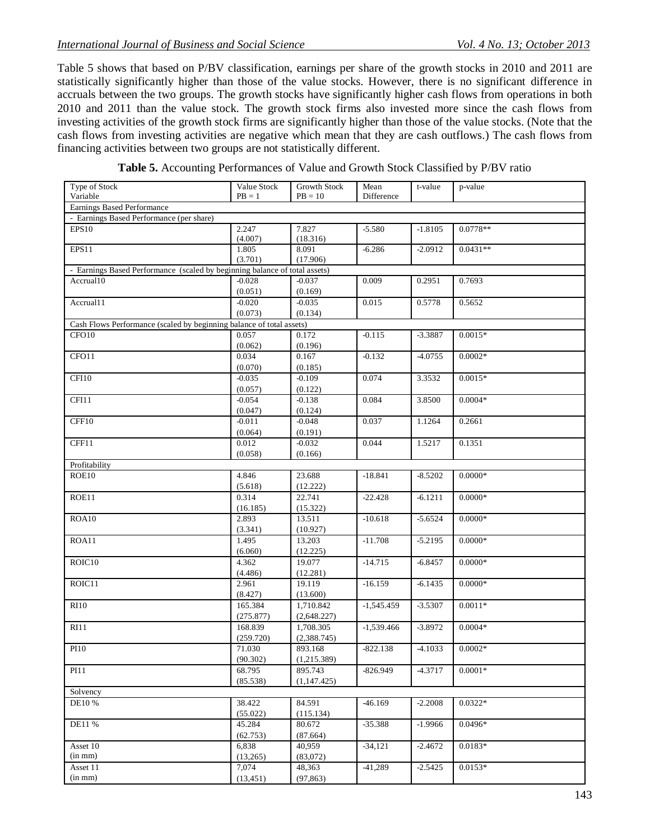Table 5 shows that based on P/BV classification, earnings per share of the growth stocks in 2010 and 2011 are statistically significantly higher than those of the value stocks. However, there is no significant difference in accruals between the two groups. The growth stocks have significantly higher cash flows from operations in both 2010 and 2011 than the value stock. The growth stock firms also invested more since the cash flows from investing activities of the growth stock firms are significantly higher than those of the value stocks. (Note that the cash flows from investing activities are negative which mean that they are cash outflows.) The cash flows from financing activities between two groups are not statistically different.

| Type of Stock<br>Variable                                                  | Value Stock<br>$PB = 1$ | Growth Stock<br>$PB = 10$ | Mean<br>Difference | t-value   | p-value    |
|----------------------------------------------------------------------------|-------------------------|---------------------------|--------------------|-----------|------------|
| Earnings Based Performance                                                 |                         |                           |                    |           |            |
| - Earnings Based Performance (per share)                                   |                         |                           |                    |           |            |
| EPS10                                                                      | 2.247                   | 7.827                     | $-5.580$           | $-1.8105$ | $0.0778**$ |
|                                                                            | (4.007)                 | (18.316)                  |                    |           |            |
| EPS11                                                                      | 1.805                   | 8.091                     | $-6.286$           | $-2.0912$ | $0.0431**$ |
|                                                                            | (3.701)                 | (17.906)                  |                    |           |            |
| - Earnings Based Performance (scaled by beginning balance of total assets) |                         |                           |                    |           |            |
| Accrual10                                                                  | $-0.028$                | $-0.037$                  | 0.009              | 0.2951    | 0.7693     |
|                                                                            | (0.051)                 | (0.169)                   |                    |           |            |
| Accrual11                                                                  | $-0.020$                | $-0.035$                  | 0.015              | 0.5778    | 0.5652     |
|                                                                            | (0.073)                 | (0.134)                   |                    |           |            |
| Cash Flows Performance (scaled by beginning balance of total assets)       |                         |                           |                    |           |            |
| CFO <sub>10</sub>                                                          | 0.057                   | 0.172                     | $-0.115$           | $-3.3887$ | $0.0015*$  |
|                                                                            | (0.062)                 | (0.196)                   |                    |           |            |
| CFO11                                                                      | 0.034                   | 0.167                     | $-0.132$           | $-4.0755$ | $0.0002*$  |
|                                                                            | (0.070)                 | (0.185)                   |                    |           |            |
| CFI10                                                                      | $-0.035$                | $-0.109$                  | 0.074              | 3.3532    | $0.0015*$  |
|                                                                            | (0.057)                 | (0.122)                   |                    |           |            |
| CFI11                                                                      | $-0.054$                | $-0.138$                  | 0.084              | 3.8500    | $0.0004*$  |
|                                                                            | (0.047)                 | (0.124)                   |                    |           |            |
| CFF10                                                                      | $-0.011$                | $-0.048$                  | 0.037              | 1.1264    | 0.2661     |
|                                                                            | (0.064)                 | (0.191)                   |                    |           |            |
| CFF11                                                                      | 0.012                   | $-0.032$                  | 0.044              | 1.5217    | 0.1351     |
|                                                                            | (0.058)                 | (0.166)                   |                    |           |            |
| Profitability                                                              |                         |                           |                    |           |            |
| ROE10                                                                      | 4.846                   | 23.688                    | $-18.841$          | $-8.5202$ | $0.0000*$  |
|                                                                            | (5.618)                 | (12.222)                  |                    |           |            |
| ROE11                                                                      | 0.314                   | 22.741                    | $-22.428$          | $-6.1211$ | $0.0000*$  |
|                                                                            | (16.185)                | (15.322)                  |                    |           |            |
| ROA10                                                                      | 2.893                   | 13.511                    | $-10.618$          | $-5.6524$ | $0.0000*$  |
|                                                                            | (3.341)                 | (10.927)                  |                    |           |            |
| ROA11                                                                      | 1.495                   | 13.203                    | $-11.708$          | $-5.2195$ | $0.0000*$  |
|                                                                            | (6.060)                 | (12.225)                  |                    |           |            |
| ROIC10                                                                     | 4.362                   | 19.077                    | $-14.715$          | $-6.8457$ | $0.0000*$  |
|                                                                            | (4.486)                 | (12.281)                  |                    |           |            |
| ROIC11                                                                     | 2.961                   | 19.119                    | $-16.159$          | $-6.1435$ | $0.0000*$  |
|                                                                            | (8.427)                 | (13.600)                  |                    |           |            |
| <b>RI10</b>                                                                | 165.384                 | 1,710.842                 | $-1,545.459$       | $-3.5307$ | $0.0011*$  |
|                                                                            | (275.877)               | (2,648.227)               |                    |           |            |
| RI11                                                                       | 168.839                 | 1,708.305                 | $-1,539.466$       | $-3.8972$ | $0.0004*$  |
|                                                                            | (259.720)               | (2,388.745)               |                    |           | $0.0002*$  |
| PI10                                                                       | 71.030                  | 893.168                   | $-822.138$         | $-4.1033$ |            |
|                                                                            | (90.302)                | (1,215.389)               |                    |           |            |
| <b>PI11</b>                                                                | 68.795                  | 895.743                   | $-826.949$         | $-4.3717$ | $0.0001*$  |
|                                                                            | (85.538)                | (1, 147.425)              |                    |           |            |
| Solvency<br>DE10 %                                                         | 38.422                  | 84.591                    | $-46.169$          | $-2.2008$ | $0.0322*$  |
|                                                                            | (55.022)                | (115.134)                 |                    |           |            |
| DE11 %                                                                     | 45.284                  | 80.672                    | $-35.388$          | $-1.9966$ | $0.0496*$  |
|                                                                            | (62.753)                | (87.664)                  |                    |           |            |
| Asset 10                                                                   | 6,838                   | 40,959                    | $-34,121$          | $-2.4672$ | $0.0183*$  |
| (in mm)                                                                    | (13,265)                | (83,072)                  |                    |           |            |
| Asset 11                                                                   | 7,074                   | 48,363                    | $-41,289$          | $-2.5425$ | $0.0153*$  |
| (in mm)                                                                    | (13, 451)               | (97, 863)                 |                    |           |            |
|                                                                            |                         |                           |                    |           |            |

**Table 5.** Accounting Performances of Value and Growth Stock Classified by P/BV ratio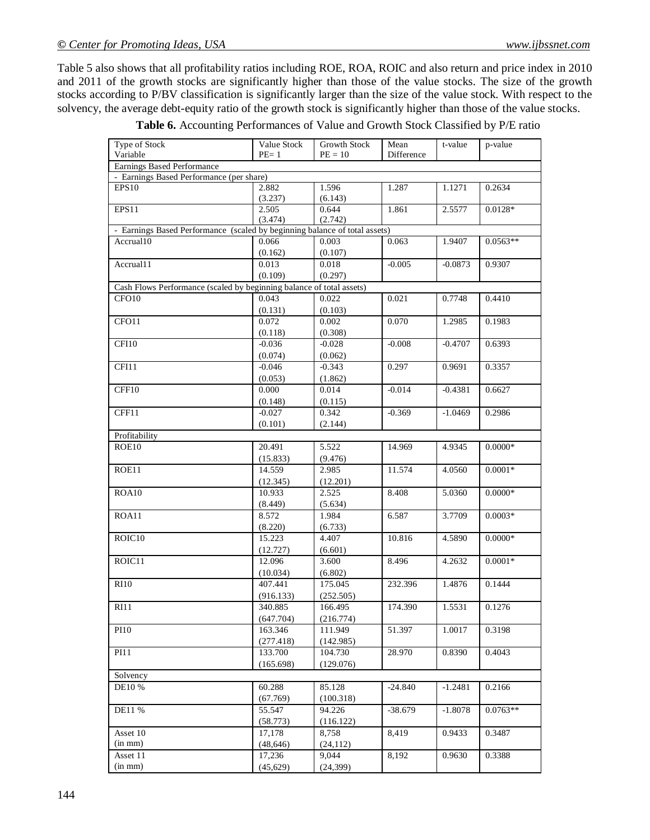Table 5 also shows that all profitability ratios including ROE, ROA, ROIC and also return and price index in 2010 and 2011 of the growth stocks are significantly higher than those of the value stocks. The size of the growth stocks according to P/BV classification is significantly larger than the size of the value stock. With respect to the solvency, the average debt-equity ratio of the growth stock is significantly higher than those of the value stocks.

| Type of Stock                                                                                    | Value Stock | <b>Growth Stock</b> | Mean       | t-value   | p-value    |  |  |  |  |
|--------------------------------------------------------------------------------------------------|-------------|---------------------|------------|-----------|------------|--|--|--|--|
| Variable                                                                                         | $PE=1$      | $PE = 10$           | Difference |           |            |  |  |  |  |
| Earnings Based Performance                                                                       |             |                     |            |           |            |  |  |  |  |
| - Earnings Based Performance (per share)                                                         |             |                     |            |           |            |  |  |  |  |
| EPS10                                                                                            | 2.882       | 1.596               | 1.287      | 1.1271    | 0.2634     |  |  |  |  |
|                                                                                                  | (3.237)     | (6.143)             |            |           |            |  |  |  |  |
| EPS11                                                                                            | 2.505       | 0.644               | 1.861      | 2.5577    | $0.0128*$  |  |  |  |  |
|                                                                                                  |             |                     |            |           |            |  |  |  |  |
| (3.474)<br>(2.742)<br>- Earnings Based Performance (scaled by beginning balance of total assets) |             |                     |            |           |            |  |  |  |  |
|                                                                                                  |             |                     |            |           |            |  |  |  |  |
| Accrual10                                                                                        | 0.066       | 0.003               | 0.063      | 1.9407    | $0.0563**$ |  |  |  |  |
|                                                                                                  | (0.162)     | (0.107)             |            |           |            |  |  |  |  |
| Accrual11                                                                                        | 0.013       | 0.018               | $-0.005$   | $-0.0873$ | 0.9307     |  |  |  |  |
|                                                                                                  | (0.109)     | (0.297)             |            |           |            |  |  |  |  |
| Cash Flows Performance (scaled by beginning balance of total assets)                             |             |                     |            |           |            |  |  |  |  |
| CFO10                                                                                            | 0.043       | 0.022               | 0.021      | 0.7748    | 0.4410     |  |  |  |  |
|                                                                                                  |             |                     |            |           |            |  |  |  |  |
|                                                                                                  | (0.131)     | (0.103)             |            |           |            |  |  |  |  |
| CFO11                                                                                            | 0.072       | 0.002               | 0.070      | 1.2985    | 0.1983     |  |  |  |  |
|                                                                                                  | (0.118)     | (0.308)             |            |           |            |  |  |  |  |
| CFI10                                                                                            | $-0.036$    | $-0.028$            | $-0.008$   | $-0.4707$ | 0.6393     |  |  |  |  |
|                                                                                                  | (0.074)     | (0.062)             |            |           |            |  |  |  |  |
| CFI11                                                                                            | $-0.046$    | $-0.343$            | 0.297      | 0.9691    | 0.3357     |  |  |  |  |
|                                                                                                  |             |                     |            |           |            |  |  |  |  |
|                                                                                                  | (0.053)     | (1.862)             |            |           |            |  |  |  |  |
| CFF10                                                                                            | 0.000       | 0.014               | $-0.014$   | $-0.4381$ | 0.6627     |  |  |  |  |
|                                                                                                  | (0.148)     | (0.115)             |            |           |            |  |  |  |  |
| CFF11                                                                                            | $-0.027$    | 0.342               | $-0.369$   | $-1.0469$ | 0.2986     |  |  |  |  |
|                                                                                                  | (0.101)     | (2.144)             |            |           |            |  |  |  |  |
| Profitability                                                                                    |             |                     |            |           |            |  |  |  |  |
|                                                                                                  |             |                     |            |           |            |  |  |  |  |
| ROE10                                                                                            | 20.491      | 5.522               | 14.969     | 4.9345    | $0.0000*$  |  |  |  |  |
|                                                                                                  | (15.833)    | (9.476)             |            |           |            |  |  |  |  |
| ROE11                                                                                            | 14.559      | 2.985               | 11.574     | 4.0560    | $0.0001*$  |  |  |  |  |
|                                                                                                  | (12.345)    | (12.201)            |            |           |            |  |  |  |  |
| ROA10                                                                                            | 10.933      | 2.525               | 8.408      | 5.0360    | $0.0000*$  |  |  |  |  |
|                                                                                                  | (8.449)     | (5.634)             |            |           |            |  |  |  |  |
| ROA11                                                                                            | 8.572       | 1.984               | 6.587      | 3.7709    | $0.0003*$  |  |  |  |  |
|                                                                                                  |             |                     |            |           |            |  |  |  |  |
|                                                                                                  | (8.220)     | (6.733)             |            |           |            |  |  |  |  |
| ROIC10                                                                                           | 15.223      | 4.407               | 10.816     | 4.5890    | $0.0000*$  |  |  |  |  |
|                                                                                                  | (12.727)    | (6.601)             |            |           |            |  |  |  |  |
| ROIC11                                                                                           | 12.096      | 3.600               | 8.496      | 4.2632    | $0.0001*$  |  |  |  |  |
|                                                                                                  | (10.034)    | (6.802)             |            |           |            |  |  |  |  |
| <b>RI10</b>                                                                                      | 407.441     | 175.045             | 232.396    | 1.4876    | 0.1444     |  |  |  |  |
|                                                                                                  |             |                     |            |           |            |  |  |  |  |
|                                                                                                  | (916.133)   | (252.505)           |            |           |            |  |  |  |  |
| RI11                                                                                             | 340.885     | 166.495             | 174.390    | 1.5531    | 0.1276     |  |  |  |  |
|                                                                                                  | (647.704)   | (216.774)           |            |           |            |  |  |  |  |
| <b>PI10</b>                                                                                      | 163.346     | 111.949             | 51.397     | 1.0017    | 0.3198     |  |  |  |  |
|                                                                                                  | (277.418)   | (142.985)           |            |           |            |  |  |  |  |
| <b>PI11</b>                                                                                      | 133.700     | 104.730             | 28.970     | 0.8390    | 0.4043     |  |  |  |  |
|                                                                                                  |             |                     |            |           |            |  |  |  |  |
|                                                                                                  | (165.698)   | (129.076)           |            |           |            |  |  |  |  |
| Solvency                                                                                         |             |                     |            |           |            |  |  |  |  |
| DE10 %                                                                                           | 60.288      | 85.128              | $-24.840$  | $-1.2481$ | 0.2166     |  |  |  |  |
|                                                                                                  | (67.769)    | (100.318)           |            |           |            |  |  |  |  |
| DE11 %                                                                                           | 55.547      | 94.226              | $-38.679$  | $-1.8078$ | $0.0763**$ |  |  |  |  |
|                                                                                                  | (58.773)    | (116.122)           |            |           |            |  |  |  |  |
| Asset 10                                                                                         | 17,178      | 8,758               | 8,419      | 0.9433    | 0.3487     |  |  |  |  |
|                                                                                                  |             |                     |            |           |            |  |  |  |  |
| $(in \, mm)$                                                                                     | (48, 646)   | (24, 112)           |            |           |            |  |  |  |  |
| Asset 11                                                                                         | 17,236      | 9,044               | 8,192      | 0.9630    | 0.3388     |  |  |  |  |
| $(in \, mm)$                                                                                     | (45, 629)   | (24, 399)           |            |           |            |  |  |  |  |

**Table 6.** Accounting Performances of Value and Growth Stock Classified by P/E ratio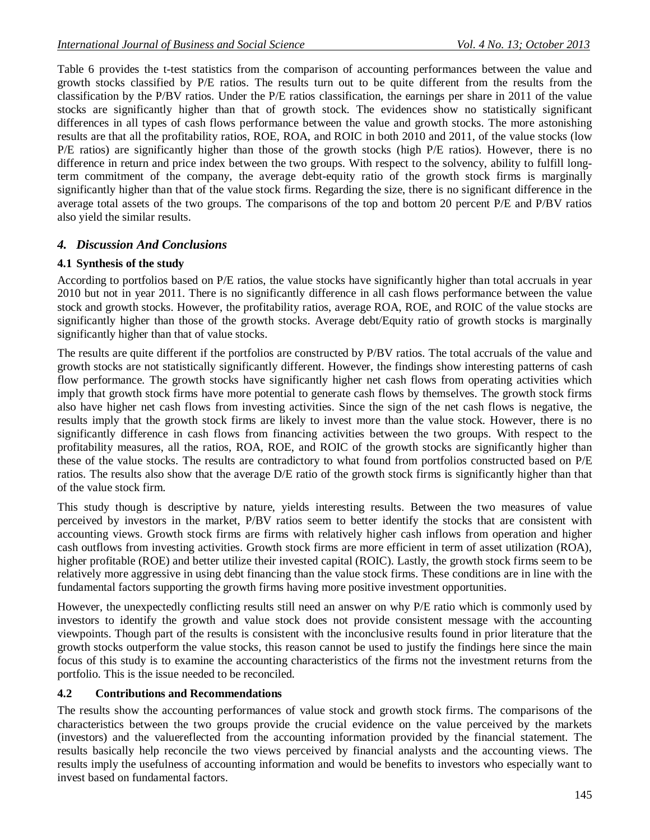Table 6 provides the t-test statistics from the comparison of accounting performances between the value and growth stocks classified by P/E ratios. The results turn out to be quite different from the results from the classification by the P/BV ratios. Under the P/E ratios classification, the earnings per share in 2011 of the value stocks are significantly higher than that of growth stock. The evidences show no statistically significant differences in all types of cash flows performance between the value and growth stocks. The more astonishing results are that all the profitability ratios, ROE, ROA, and ROIC in both 2010 and 2011, of the value stocks (low P/E ratios) are significantly higher than those of the growth stocks (high P/E ratios). However, there is no difference in return and price index between the two groups. With respect to the solvency, ability to fulfill longterm commitment of the company, the average debt-equity ratio of the growth stock firms is marginally significantly higher than that of the value stock firms. Regarding the size, there is no significant difference in the average total assets of the two groups. The comparisons of the top and bottom 20 percent P/E and P/BV ratios also yield the similar results.

# *4. Discussion And Conclusions*

## **4.1 Synthesis of the study**

According to portfolios based on P/E ratios, the value stocks have significantly higher than total accruals in year 2010 but not in year 2011. There is no significantly difference in all cash flows performance between the value stock and growth stocks. However, the profitability ratios, average ROA, ROE, and ROIC of the value stocks are significantly higher than those of the growth stocks. Average debt/Equity ratio of growth stocks is marginally significantly higher than that of value stocks.

The results are quite different if the portfolios are constructed by P/BV ratios. The total accruals of the value and growth stocks are not statistically significantly different. However, the findings show interesting patterns of cash flow performance. The growth stocks have significantly higher net cash flows from operating activities which imply that growth stock firms have more potential to generate cash flows by themselves. The growth stock firms also have higher net cash flows from investing activities. Since the sign of the net cash flows is negative, the results imply that the growth stock firms are likely to invest more than the value stock. However, there is no significantly difference in cash flows from financing activities between the two groups. With respect to the profitability measures, all the ratios, ROA, ROE, and ROIC of the growth stocks are significantly higher than these of the value stocks. The results are contradictory to what found from portfolios constructed based on P/E ratios. The results also show that the average D/E ratio of the growth stock firms is significantly higher than that of the value stock firm.

This study though is descriptive by nature, yields interesting results. Between the two measures of value perceived by investors in the market, P/BV ratios seem to better identify the stocks that are consistent with accounting views. Growth stock firms are firms with relatively higher cash inflows from operation and higher cash outflows from investing activities. Growth stock firms are more efficient in term of asset utilization (ROA), higher profitable (ROE) and better utilize their invested capital (ROIC). Lastly, the growth stock firms seem to be relatively more aggressive in using debt financing than the value stock firms. These conditions are in line with the fundamental factors supporting the growth firms having more positive investment opportunities.

However, the unexpectedly conflicting results still need an answer on why P/E ratio which is commonly used by investors to identify the growth and value stock does not provide consistent message with the accounting viewpoints. Though part of the results is consistent with the inconclusive results found in prior literature that the growth stocks outperform the value stocks, this reason cannot be used to justify the findings here since the main focus of this study is to examine the accounting characteristics of the firms not the investment returns from the portfolio. This is the issue needed to be reconciled.

#### **4.2 Contributions and Recommendations**

The results show the accounting performances of value stock and growth stock firms. The comparisons of the characteristics between the two groups provide the crucial evidence on the value perceived by the markets (investors) and the valuereflected from the accounting information provided by the financial statement. The results basically help reconcile the two views perceived by financial analysts and the accounting views. The results imply the usefulness of accounting information and would be benefits to investors who especially want to invest based on fundamental factors.